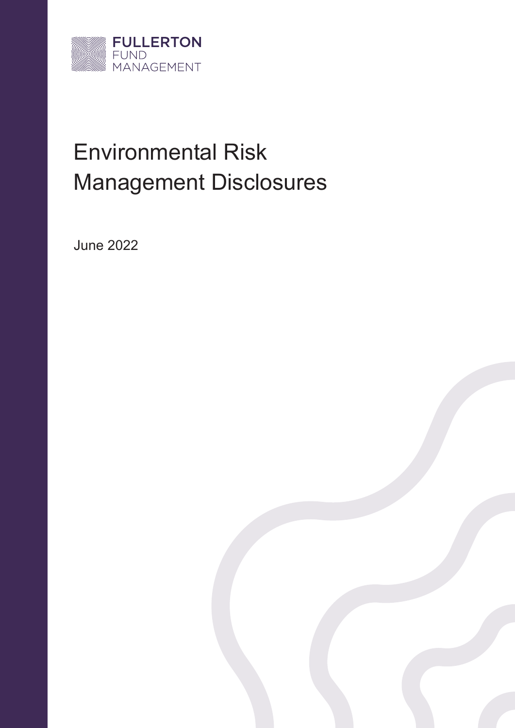

# Environmental Risk Management Disclosures

June 2022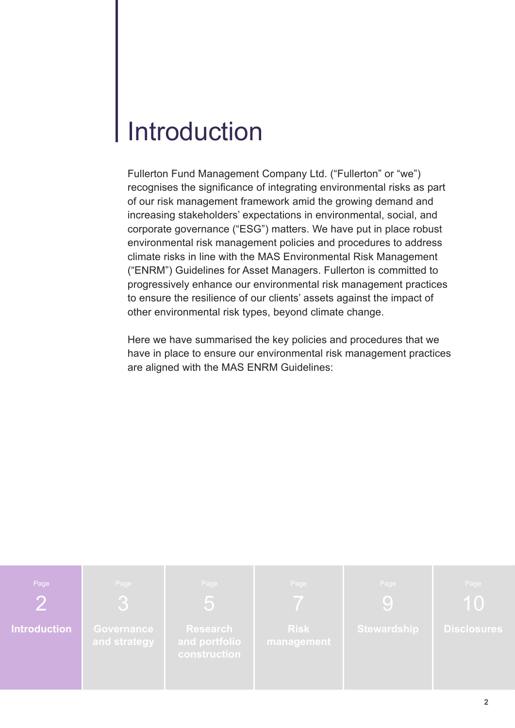### Introduction

Fullerton Fund Management Company Ltd. ("Fullerton" or "we") recognises the significance of integrating environmental risks as part of our risk management framework amid the growing demand and increasing stakeholders' expectations in environmental, social, and corporate governance ("ESG") matters. We have put in place robust environmental risk management policies and procedures to address climate risks in line with the MAS Environmental Risk Management ("ENRM") Guidelines for Asset Managers. Fullerton is committed to progressively enhance our environmental risk management practices to ensure the resilience of our clients' assets against the impact of other environmental risk types, beyond climate change.

Here we have summarised the key policies and procedures that we have in place to ensure our environmental risk management practices are aligned with the MAS ENRM Guidelines:

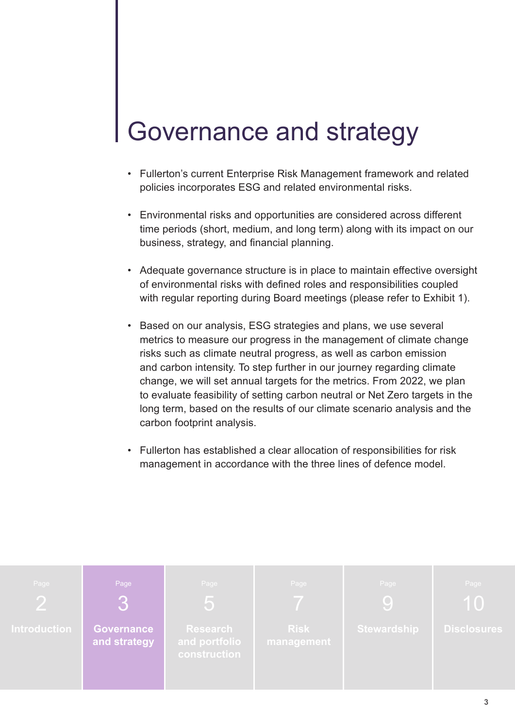## Governance and strategy

- Fullerton's current Enterprise Risk Management framework and related policies incorporates ESG and related environmental risks.
- Environmental risks and opportunities are considered across different time periods (short, medium, and long term) along with its impact on our business, strategy, and financial planning.
- Adequate governance structure is in place to maintain effective oversight of environmental risks with defined roles and responsibilities coupled with regular reporting during Board meetings (please refer to Exhibit 1).
- Based on our analysis, ESG strategies and plans, we use several metrics to measure our progress in the management of climate change risks such as climate neutral progress, as well as carbon emission and carbon intensity. To step further in our journey regarding climate change, we will set annual targets for the metrics. From 2022, we plan to evaluate feasibility of setting carbon neutral or Net Zero targets in the long term, based on the results of our climate scenario analysis and the carbon footprint analysis.
- Fullerton has established a clear allocation of responsibilities for risk management in accordance with the three lines of defence model.

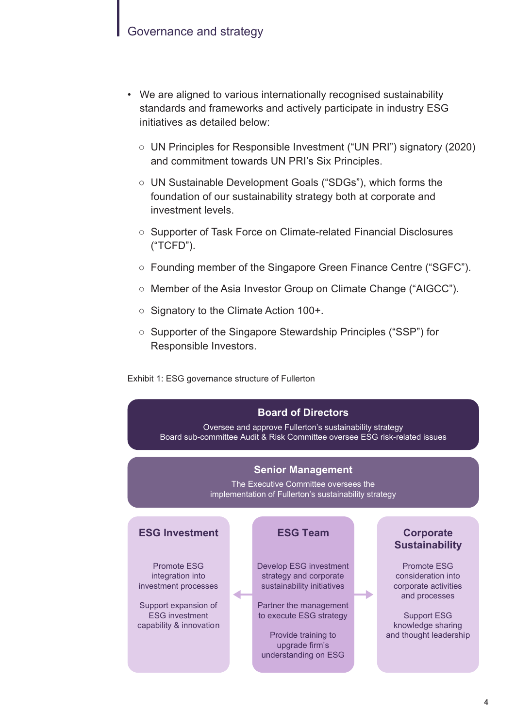- We are aligned to various internationally recognised sustainability standards and frameworks and actively participate in industry ESG initiatives as detailed below:
	- UN Principles for Responsible Investment ("UN PRI") signatory (2020) and commitment towards UN PRI's Six Principles.
	- UN Sustainable Development Goals ("SDGs"), which forms the foundation of our sustainability strategy both at corporate and investment levels.
	- Supporter of Task Force on Climate-related Financial Disclosures ("TCFD").
	- Founding member of the Singapore Green Finance Centre ("SGFC").
	- Member of the Asia Investor Group on Climate Change ("AIGCC").
	- Signatory to the Climate Action 100+.
	- Supporter of the Singapore Stewardship Principles ("SSP") for Responsible Investors.

Exhibit 1: ESG governance structure of Fullerton



Oversee and approve Fullerton's sustainability strategy Board sub-committee Audit & Risk Committee oversee ESG risk-related issues

#### **Senior Management**

The Executive Committee oversees the implementation of Fullerton's sustainability strategy

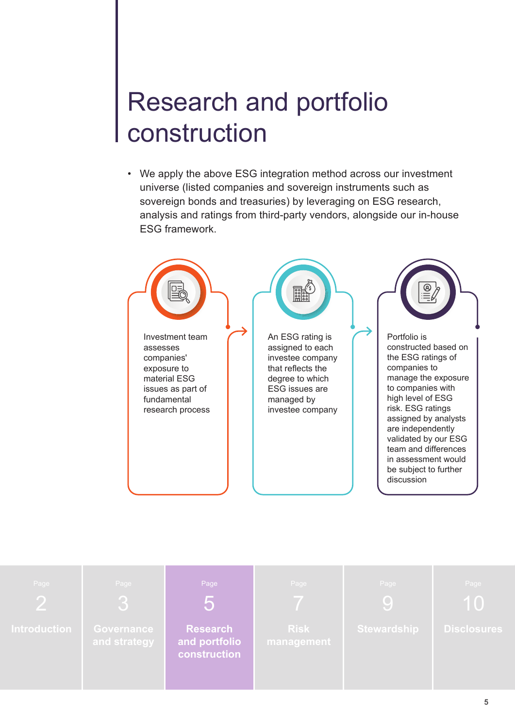# Research and portfolio construction

• We apply the above ESG integration method across our investment universe (listed companies and sovereign instruments such as sovereign bonds and treasuries) by leveraging on ESG research, analysis and ratings from third-party vendors, alongside our in-house ESG framework.



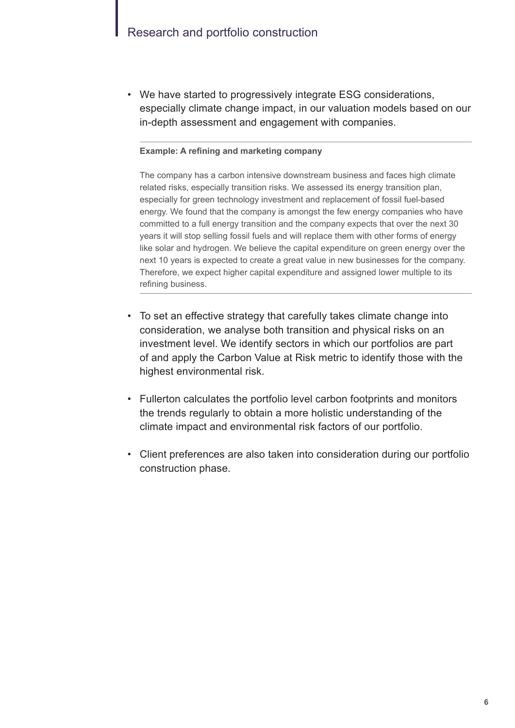#### Research and portfolio construction

• We have started to progressively integrate ESG considerations, especially climate change impact, in our valuation models based on our in-depth assessment and engagement with companies.

#### **Example: A refining and marketing company**

The company has a carbon intensive downstream business and faces high climate related risks, especially transition risks. We assessed its energy transition plan, especially for green technology investment and replacement of fossil fuel-based energy. We found that the company is amongst the few energy companies who have committed to a full energy transition and the company expects that over the next 30 years it will stop selling fossil fuels and will replace them with other forms of energy like solar and hydrogen. We believe the capital expenditure on green energy over the next 10 years is expected to create a great value in new businesses for the company. Therefore, we expect higher capital expenditure and assigned lower multiple to its refining business.

- To set an effective strategy that carefully takes climate change into consideration, we analyse both transition and physical risks on an investment level. We identify sectors in which our portfolios are part of and apply the Carbon Value at Risk metric to identify those with the highest environmental risk.
- Fullerton calculates the portfolio level carbon footprints and monitors the trends regularly to obtain a more holistic understanding of the climate impact and environmental risk factors of our portfolio.
- Client preferences are also taken into consideration during our portfolio construction phase.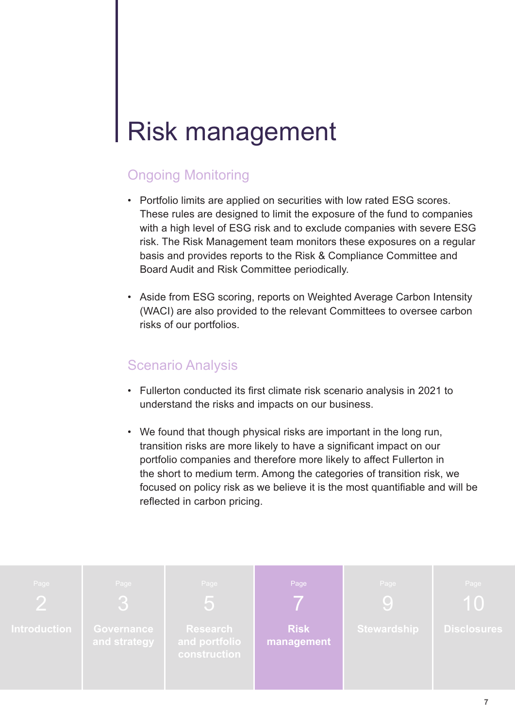### Risk management

#### Ongoing Monitoring

- Portfolio limits are applied on securities with low rated ESG scores. These rules are designed to limit the exposure of the fund to companies with a high level of ESG risk and to exclude companies with severe ESG risk. The Risk Management team monitors these exposures on a regular basis and provides reports to the Risk & Compliance Committee and Board Audit and Risk Committee periodically.
- Aside from ESG scoring, reports on Weighted Average Carbon Intensity (WACI) are also provided to the relevant Committees to oversee carbon risks of our portfolios.

#### Scenario Analysis

- Fullerton conducted its first climate risk scenario analysis in 2021 to understand the risks and impacts on our business.
- We found that though physical risks are important in the long run, transition risks are more likely to have a significant impact on our portfolio companies and therefore more likely to affect Fullerton in the short to medium term. Among the categories of transition risk, we focused on policy risk as we believe it is the most quantifiable and will be reflected in carbon pricing.

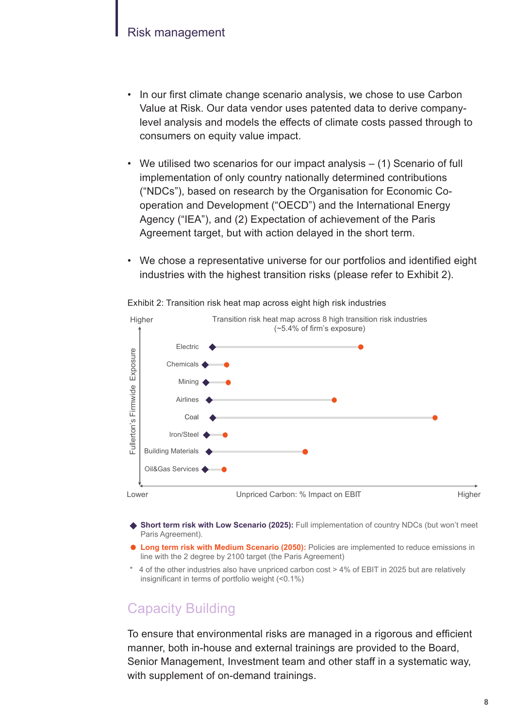#### Risk management

- In our first climate change scenario analysis, we chose to use Carbon Value at Risk. Our data vendor uses patented data to derive companylevel analysis and models the effects of climate costs passed through to consumers on equity value impact.
- We utilised two scenarios for our impact analysis (1) Scenario of full implementation of only country nationally determined contributions ("NDCs"), based on research by the Organisation for Economic Cooperation and Development ("OECD") and the International Energy Agency ("IEA"), and (2) Expectation of achievement of the Paris Agreement target, but with action delayed in the short term.
- We chose a representative universe for our portfolios and identified eight industries with the highest transition risks (please refer to Exhibit 2).



Exhibit 2: Transition risk heat map across eight high risk industries

- **Short term risk with Low Scenario (2025):** Full implementation of country NDCs (but won't meet Paris Agreement).
- **Long term risk with Medium Scenario (2050):** Policies are implemented to reduce emissions in line with the 2 degree by 2100 target (the Paris Agreement)
- \* 4 of the other industries also have unpriced carbon cost > 4% of EBIT in 2025 but are relatively insignificant in terms of portfolio weight (<0.1%)

#### Capacity Building

To ensure that environmental risks are managed in a rigorous and efficient manner, both in-house and external trainings are provided to the Board, Senior Management, Investment team and other staff in a systematic way, with supplement of on-demand trainings.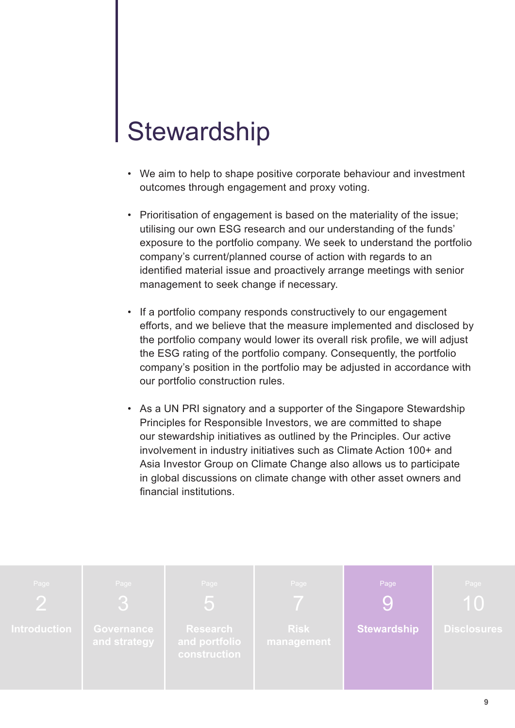# **Stewardship**

- We aim to help to shape positive corporate behaviour and investment outcomes through engagement and proxy voting.
- Prioritisation of engagement is based on the materiality of the issue; utilising our own ESG research and our understanding of the funds' exposure to the portfolio company. We seek to understand the portfolio company's current/planned course of action with regards to an identified material issue and proactively arrange meetings with senior management to seek change if necessary.
- If a portfolio company responds constructively to our engagement efforts, and we believe that the measure implemented and disclosed by the portfolio company would lower its overall risk profile, we will adjust the ESG rating of the portfolio company. Consequently, the portfolio company's position in the portfolio may be adjusted in accordance with our portfolio construction rules.
- As a UN PRI signatory and a supporter of the Singapore Stewardship Principles for Responsible Investors, we are committed to shape our stewardship initiatives as outlined by the Principles. Our active involvement in industry initiatives such as Climate Action 100+ and Asia Investor Group on Climate Change also allows us to participate in global discussions on climate change with other asset owners and financial institutions.